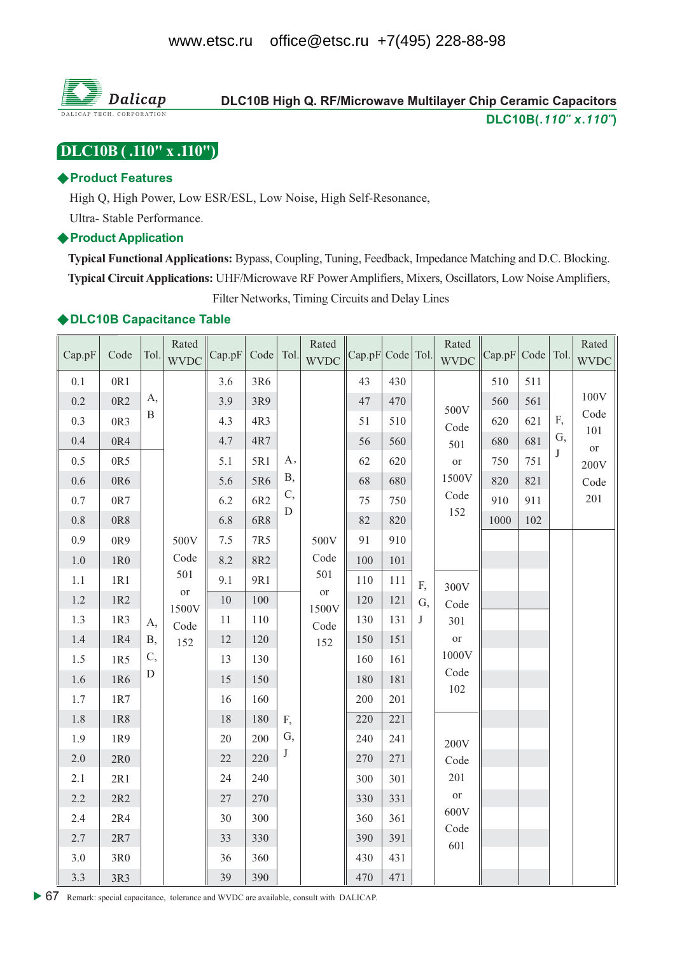

# DLC10B High Q. RF/Microwave Multilayer Chip Ceramic Capacitors DLC10B(.110" x.110")

# [DLC10B (.110" x .110")]

### ◆ Product Features

High Q, High Power, Low ESR/ESL, Low Noise, High Self-Resonance,

Ultra-Stable Performance.

### ♦ Product Application

Typical Functional Applications: Bypass, Coupling, Tuning, Feedback, Impedance Matching and D.C. Blocking. Typical Circuit Applications: UHF/Microwave RF Power Amplifiers, Mixers, Oscillators, Low Noise Amplifiers, Filter Networks, Timing Circuits and Delay Lines

### ◆DLC10B Capacitance Table

| Cap.pF  | Code            | Tol.         | Rated<br><b>WVDC</b> | Cap.pF | Code   Tol. |             | Rated<br><b>WVDC</b> | Cap.pF Code Tol. |     |            | Rated<br><b>WVDC</b> | Cap.pF Code Tol. |     |    | Rated<br><b>WVDC</b> |
|---------|-----------------|--------------|----------------------|--------|-------------|-------------|----------------------|------------------|-----|------------|----------------------|------------------|-----|----|----------------------|
| 0.1     | 0R1             |              |                      | 3.6    | 3R6         |             |                      | 43               | 430 |            |                      | 510              | 511 |    |                      |
| 0.2     | 0R <sub>2</sub> | A,           |                      | 3.9    | 3R9         |             |                      | 47               | 470 |            | 500V                 | 560              | 561 |    | 100V                 |
| 0.3     | 0R3             | $\, {\bf B}$ |                      | 4.3    | 4R3         |             |                      | 51               | 510 |            | Code                 | 620              | 621 | F, | Code                 |
| 0.4     | $0\mathrm{R}4$  |              |                      | 4.7    | 4R7         |             |                      | 56               | 560 |            | 501                  | 680              | 681 | G, | 101<br><b>or</b>     |
| 0.5     | 0R5             |              |                      | 5.1    | 5R1         | A,          |                      | 62               | 620 |            | <b>or</b>            | 750              | 751 | J  | 200V                 |
| $0.6\,$ | $0{\rm R}6$     |              |                      | 5.6    | 5R6         | <b>B</b> ,  |                      | 68               | 680 |            | 1500V                | 820              | 821 |    | Code                 |
| 0.7     | $0{\rm R}7$     |              |                      | 6.2    | 6R2         | C,          |                      | 75               | 750 |            | Code                 | 910              | 911 |    | 201                  |
| $0.8\,$ | 0R8             |              |                      | 6.8    | 6R8         | $\mathbf D$ |                      | 82               | 820 |            | 152                  | 1000             | 102 |    |                      |
| 0.9     | 0R9             |              | 500V                 | 7.5    | 7R5         |             | 500V                 | 91               | 910 |            |                      |                  |     |    |                      |
| $1.0\,$ | $1R0$           |              | Code                 | 8.2    | 8R2         |             | Code                 | 100              | 101 |            |                      |                  |     |    |                      |
| $1.1\,$ | 1R1             |              | 501                  | 9.1    | 9R1         |             | 501                  | 110              | 111 | F,         | 300V                 |                  |     |    |                      |
| 1.2     | 1R2             |              | <b>or</b><br>1500V   | 10     | 100         |             | $\hbox{or}$<br>1500V | 120              | 121 | G,         | Code                 |                  |     |    |                      |
| 1.3     | 1R3             | A,           | Code                 | 11     | 110         |             | Code                 | 130              | 131 | $_{\rm J}$ | 301                  |                  |     |    |                      |
| 1.4     | 1R4             | <b>B</b> ,   | 152                  | 12     | 120         |             | 152                  | 150              | 151 |            | <sub>or</sub>        |                  |     |    |                      |
| $1.5\,$ | 1R5             | C,           |                      | 13     | 130         |             |                      | 160              | 161 |            | 1000V                |                  |     |    |                      |
| 1.6     | 1R6             | D            |                      | 15     | 150         |             |                      | 180              | 181 |            | Code<br>102          |                  |     |    |                      |
| 1.7     | 1R7             |              |                      | 16     | 160         |             |                      | 200              | 201 |            |                      |                  |     |    |                      |
| 1.8     | 1R8             |              |                      | 18     | 180         | F,          |                      | 220              | 221 |            |                      |                  |     |    |                      |
| 1.9     | 1R9             |              |                      | $20\,$ | 200         | G,          |                      | 240              | 241 |            | 200V                 |                  |     |    |                      |
| $2.0\,$ | $2{\rm R}0$     |              |                      | 22     | 220         | J           |                      | 270              | 271 |            | Code                 |                  |     |    |                      |
| $2.1\,$ | 2R1             |              |                      | 24     | 240         |             |                      | 300              | 301 |            | 201                  |                  |     |    |                      |
| 2.2     | $2R2$           |              |                      | $27\,$ | 270         |             |                      | 330              | 331 |            | <b>or</b>            |                  |     |    |                      |
| 2.4     | $2R4$           |              |                      | 30     | 300         |             |                      | 360              | 361 |            | 600V<br>Code         |                  |     |    |                      |
| 2.7     | $2R7$           |              |                      | 33     | 330         |             |                      | 390              | 391 |            | 601                  |                  |     |    |                      |
| $3.0\,$ | 3R0             |              |                      | 36     | 360         |             |                      | 430              | 431 |            |                      |                  |     |    |                      |
| 3.3     | 3R3             |              |                      | 39     | 390         |             |                      | 470              | 471 |            |                      |                  |     |    |                      |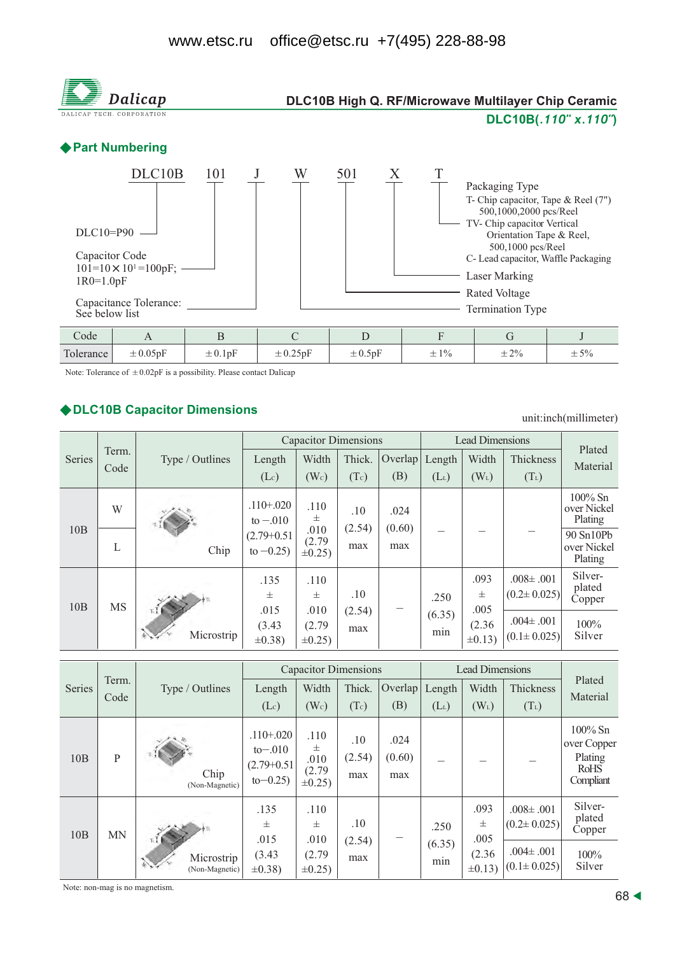

Note: Tolerance of  $\pm 0.02pF$  is a possibility. Please contact Dalicap

### ◆ DLC10B Capacitor Dimensions

unit:inch(millimeter)

|        |               |                   |                                | <b>Capacitor Dimensions</b>    |               | <b>Lead Dimensions</b> | Plated        |                        |                                      |                                      |
|--------|---------------|-------------------|--------------------------------|--------------------------------|---------------|------------------------|---------------|------------------------|--------------------------------------|--------------------------------------|
| Series | Term.<br>Code | Type / Outlines   | Length                         | Width                          | Thick.        | Overlap                | Length        | Width                  | <b>Thickness</b>                     | Material                             |
|        |               |                   | (Lc)                           | (W <sub>c</sub> )              | (Tc)          | (B)                    | $(L_L)$       | $(W_L)$                | $(T_L)$                              |                                      |
|        | W             |                   | $.110 + .020$<br>to $-.010$    | .110<br>士                      | .10           | .024                   |               |                        |                                      | $100\%$ Sn<br>over Nickel<br>Plating |
| 10B    | L             | Chip              | $(2.79+0.51)$<br>to $-0.25$ )  | .010<br>(2.79)<br>$\pm 0.25$ ) | (2.54)<br>max | (0.60)<br>max          |               |                        |                                      | 90 Sn10Pb<br>over Nickel<br>Plating  |
| 10B    | <b>MS</b>     | πIM<br>Microstrip | .135<br>.110<br>士<br>士         |                                | .10           |                        | .250          | .093<br>士<br>.005      | $.008 \pm .001$<br>$(0.2 \pm 0.025)$ | Silver-<br>plated<br>Copper          |
|        |               |                   | .015<br>(3.43)<br>$\pm 0.38$ ) | .010<br>(2.79)<br>$\pm 0.25$ ) | (2.54)<br>max |                        | (6.35)<br>min | (2.36)<br>$\pm 0.13$ ) | $.004 \pm .001$<br>$(0.1 \pm 0.025)$ | $100\%$<br>Silver                    |

|        |           |                                      |                                                            |                                             | <b>Capacitor Dimensions</b> |                       | <b>Lead Dimensions</b> |                                           |                                                                              |                                                                  |  |
|--------|-----------|--------------------------------------|------------------------------------------------------------|---------------------------------------------|-----------------------------|-----------------------|------------------------|-------------------------------------------|------------------------------------------------------------------------------|------------------------------------------------------------------|--|
| Series | Term.     | Type / Outlines                      | Length                                                     | Width                                       | Thick.                      | Overlap               | Length                 | Width                                     | Thickness                                                                    | Plated<br>Material                                               |  |
|        | Code      |                                      | $(L_c)$                                                    | (W <sub>c</sub> )                           | (Tc)                        | (B)                   | $(L_L)$                | $(W_L)$                                   | $(T_L)$                                                                      |                                                                  |  |
| 10B    | P         | Chip<br>(Non-Magnetic)               | $.110 + .020$<br>$to-.010$<br>$(2.79+0.51)$<br>$to -0.25)$ | .110<br>士<br>.010<br>(2.79)<br>$\pm 0.25$ ) | .10<br>(2.54)<br>max        | .024<br>(0.60)<br>max |                        |                                           |                                                                              | $100\%$ Sn<br>over Copper<br>Plating<br><b>RoHS</b><br>Compliant |  |
| 10B    | <b>MN</b> | ⊤I I<br>Microstrip<br>(Non-Magnetic) | .135<br>士<br>.015<br>(3.43)<br>$\pm 0.38$ )                | .110<br>士<br>.010<br>(2.79)<br>$\pm 0.25$   | .10<br>(2.54)<br>max        |                       | .250<br>(6.35)<br>min  | .093<br>士<br>.005<br>(2.36)<br>$\pm 0.13$ | $.008 \pm .001$<br>$(0.2 \pm 0.025)$<br>$.004 \pm .001$<br>$(0.1 \pm 0.025)$ | Silver-<br>plated<br>Copper<br>100%<br>Silver                    |  |

Note: non-mag is no magnetism.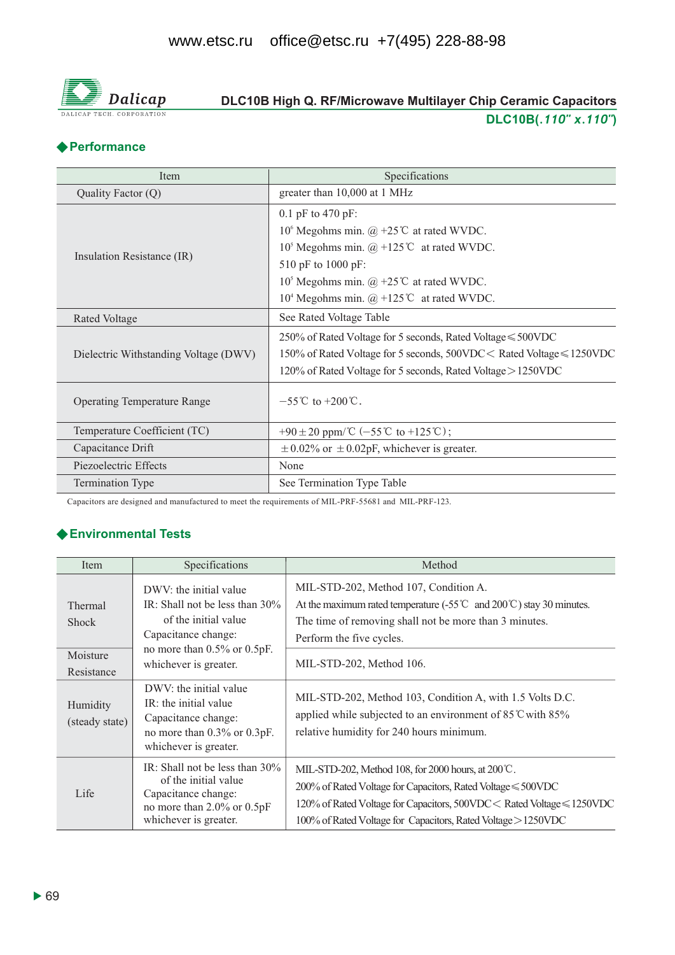

# DLC10B High Q. RF/Microwave Multilayer Chip Ceramic Capacitors DLC10B(.110" x.110")

# ◆ Performance

| Item                                  | Specifications                                                        |
|---------------------------------------|-----------------------------------------------------------------------|
| Quality Factor (Q)                    | greater than 10,000 at 1 MHz                                          |
|                                       | 0.1 pF to 470 pF:                                                     |
|                                       | 10 <sup>6</sup> Megohms min. $\omega$ +25°C at rated WVDC.            |
|                                       | 10 <sup>5</sup> Megohms min. $\omega$ +125°C at rated WVDC.           |
| Insulation Resistance (IR)            | 510 pF to 1000 pF:                                                    |
|                                       | 10 <sup>5</sup> Megohms min. @ +25 <sup>°</sup> C at rated WVDC.      |
|                                       | 10 <sup>4</sup> Megohms min. $\omega$ +125°C at rated WVDC.           |
| <b>Rated Voltage</b>                  | See Rated Voltage Table                                               |
|                                       | 250% of Rated Voltage for 5 seconds, Rated Voltage $\leq 500$ VDC     |
| Dielectric Withstanding Voltage (DWV) | 150% of Rated Voltage for 5 seconds, 500VDC < Rated Voltage ≤ 1250VDC |
|                                       | 120% of Rated Voltage for 5 seconds, Rated Voltage > 1250VDC          |
| <b>Operating Temperature Range</b>    | $-55^{\circ}$ C to $+200^{\circ}$ C.                                  |
| Temperature Coefficient (TC)          | +90 ± 20 ppm/ $\mathbb{C}$ (-55 $\mathbb{C}$ to +125 $\mathbb{C}$ );  |
| Capacitance Drift                     | $\pm$ 0.02% or $\pm$ 0.02pF, whichever is greater.                    |
| Piezoelectric Effects                 | None                                                                  |
| <b>Termination Type</b>               | See Termination Type Table                                            |

Capacitors are designed and manufactured to meet the requirements of MIL-PRF-55681 and MIL-PRF-123.

# ← Environmental Tests

| Item                                              | Specifications                                                                                                                                                           | Method                                                                                                                                                                                                                                                                 |
|---------------------------------------------------|--------------------------------------------------------------------------------------------------------------------------------------------------------------------------|------------------------------------------------------------------------------------------------------------------------------------------------------------------------------------------------------------------------------------------------------------------------|
| Thermal<br><b>Shock</b><br>Moisture<br>Resistance | DWV: the initial value<br>IR: Shall not be less than $30\%$<br>of the initial value<br>Capacitance change:<br>no more than $0.5\%$ or $0.5pF$ .<br>whichever is greater. | MIL-STD-202, Method 107, Condition A.<br>At the maximum rated temperature $(-55^{\circ}\text{C} \text{ and } 200^{\circ}\text{C})$ stay 30 minutes.<br>The time of removing shall not be more than 3 minutes.<br>Perform the five cycles.<br>MIL-STD-202, Method 106.  |
| Humidity<br>(steady state)                        | DWV: the initial value<br>IR: the initial value<br>Capacitance change:<br>no more than 0.3% or 0.3pF.<br>whichever is greater.                                           | MIL-STD-202, Method 103, Condition A, with 1.5 Volts D.C.<br>applied while subjected to an environment of $85^{\circ}$ C with $85\%$<br>relative humidity for 240 hours minimum.                                                                                       |
| Life                                              | IR: Shall not be less than 30%<br>of the initial value<br>Capacitance change:<br>no more than 2.0% or 0.5pF<br>whichever is greater.                                     | MIL-STD-202, Method 108, for 2000 hours, at 200°C.<br>$200\%$ of Rated Voltage for Capacitors, Rated Voltage $\leq 500$ VDC<br>120% of Rated Voltage for Capacitors, 500VDC < Rated Voltage ≤ 1250VDC<br>100% of Rated Voltage for Capacitors, Rated Voltage > 1250VDC |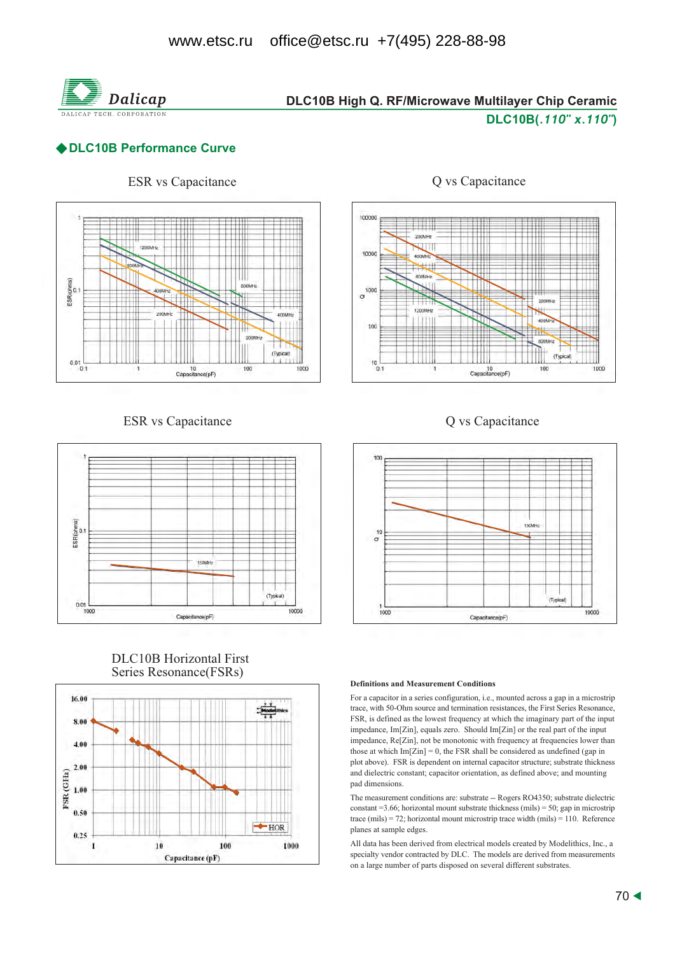

# DLC10B High Q. RF/Microwave Multilayer Chip Ceramic DLC10B(.110" x.110")

## ◆ DLC10B Performance Curve



### **ESR** vs Capacitance



### **DLC10B** Horizontal First Series Resonance(FSRs)





### Q vs Capacitance





### **Definitions and Measurement Conditions**

For a capacitor in a series configuration, i.e., mounted across a gap in a microstrip trace, with 50-Ohm source and termination resistances, the First Series Resonance, FSR, is defined as the lowest frequency at which the imaginary part of the input impedance, Im<sub>[Zin]</sub>, equals zero. Should Im<sub>[Zin]</sub> or the real part of the input impedance, Re[Zin], not be monotonic with frequency at frequencies lower than those at which  $Im[Zin] = 0$ , the FSR shall be considered as undefined (gap in plot above). FSR is dependent on internal capacitor structure; substrate thickness and dielectric constant; capacitor orientation, as defined above; and mounting pad dimensions.

The measurement conditions are: substrate -- Rogers RO4350; substrate dielectric constant = 3.66; horizontal mount substrate thickness (mils) = 50; gap in microstrip trace (mils) = 72; horizontal mount microstrip trace width (mils) = 110. Reference planes at sample edges.

All data has been derived from electrical models created by Modelithics, Inc., a specialty vendor contracted by DLC. The models are derived from measurements on a large number of parts disposed on several different substrates.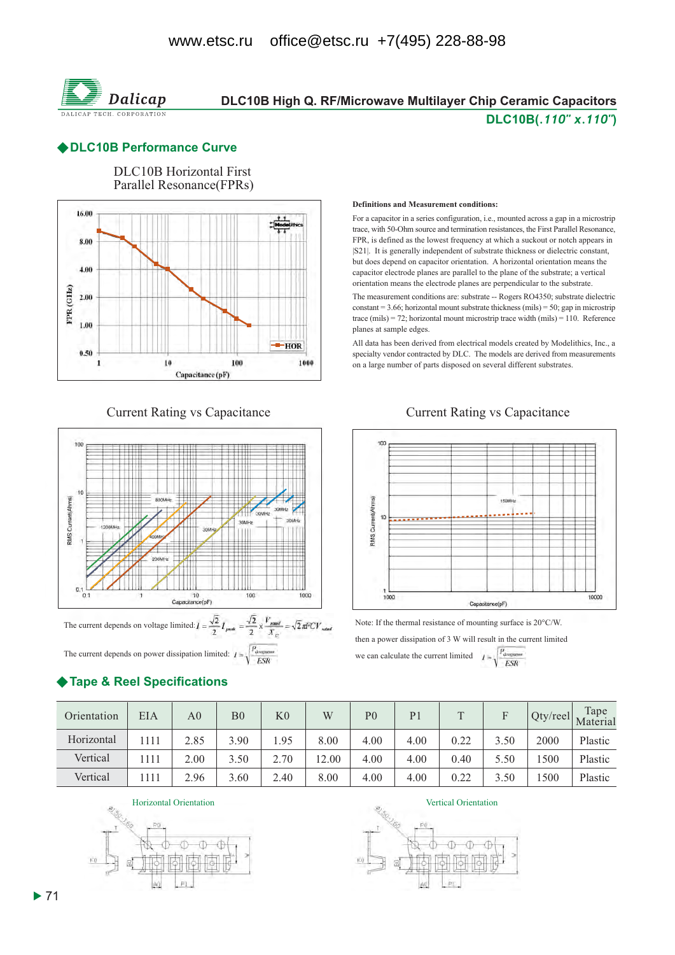

# DLC10B High Q. RF/Microwave Multilayer Chip Ceramic Capacitors DLC10B(.110" x.110")

### ◆DLC10B Performance Curve



### **Current Rating vs Capacitance**



The current depends on power dissipation limited:  $I = \sqrt{\frac{P_{\text{downman}}}{ESR}}$ 

# ◆ Tape & Reel Specifications

#### **Definitions and Measurement conditions:**

For a capacitor in a series configuration, i.e., mounted across a gap in a microstrip trace, with 50-Ohm source and termination resistances, the First Parallel Resonance, FPR, is defined as the lowest frequency at which a suckout or notch appears in [S21]. It is generally independent of substrate thickness or dielectric constant, but does depend on capacitor orientation. A horizontal orientation means the capacitor electrode planes are parallel to the plane of the substrate; a vertical orientation means the electrode planes are perpendicular to the substrate.

The measurement conditions are: substrate -- Rogers RO4350; substrate dielectric constant = 3.66; horizontal mount substrate thickness (mils) = 50; gap in microstrip trace (mils) = 72; horizontal mount microstrip trace width (mils) = 110. Reference planes at sample edges.

All data has been derived from electrical models created by Modelithics, Inc., a specialty vendor contracted by DLC. The models are derived from measurements on a large number of parts disposed on several different substrates.

### **Current Rating vs Capacitance**



Note: If the thermal resistance of mounting surface is 20°C/W.

then a power dissipation of 3 W will result in the current limited we can calculate the current limited  $I = \sqrt{\frac{P_{\text{downum}}}{ESR}}$ 

| Orientation | EIA   | A0   | B <sub>0</sub> | K <sub>0</sub> | W     | P <sub>0</sub> | P <sub>1</sub> |      |      | $Qty$ /reel | Tape<br>Material |
|-------------|-------|------|----------------|----------------|-------|----------------|----------------|------|------|-------------|------------------|
| Horizontal  | 1111  | 2.85 | 3.90           | .95            | 8.00  | 4.00           | 4.00           | 0.22 | 3.50 | 2000        | Plastic          |
| Vertical    | 1111  | 2.00 | 3.50           | 2.70           | 12.00 | 4.00           | 4.00           | 0.40 | 5.50 | 500         | Plastic          |
| Vertical    | ! 111 | 2.96 | 3.60           | 2.40           | 8.00  | 4.00           | 4.00           | 0.22 | 3.50 | 500         | Plastic          |

Horizontal Orientation



Vertical Orientation